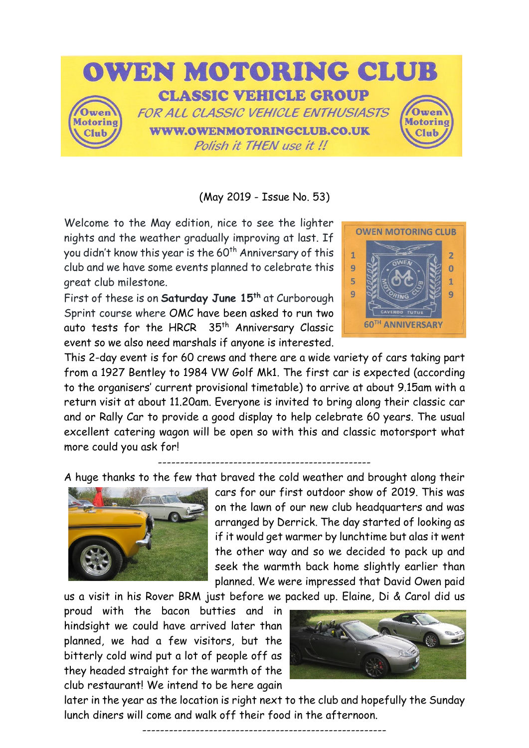

(May 2019 - Issue No. 53)

Welcome to the May edition, nice to see the lighter nights and the weather gradually improving at last. If you didn't know this year is the 60<sup>th</sup> Anniversary of this club and we have some events planned to celebrate this great club milestone.

First of these is on **Saturday June 15th** at Curborough Sprint course where OMC have been asked to run two auto tests for the HRCR 35<sup>th</sup> Anniversary Classic event so we also need marshals if anyone is interested.



This 2-day event is for 60 crews and there are a wide variety of cars taking part from a 1927 Bentley to 1984 VW Golf Mk1. The first car is expected (according to the organisers' current provisional timetable) to arrive at about 9.15am with a return visit at about 11.20am. Everyone is invited to bring along their classic car and or Rally Car to provide a good display to help celebrate 60 years. The usual excellent catering wagon will be open so with this and classic motorsport what more could you ask for!

------------------------------------------------

A huge thanks to the few that braved the cold weather and brought along their



cars for our first outdoor show of 2019. This was on the lawn of our new club headquarters and was arranged by Derrick. The day started of looking as if it would get warmer by lunchtime but alas it went the other way and so we decided to pack up and seek the warmth back home slightly earlier than planned. We were impressed that David Owen paid

us a visit in his Rover BRM just before we packed up. Elaine, Di & Carol did us

proud with the bacon butties and in hindsight we could have arrived later than planned, we had a few visitors, but the bitterly cold wind put a lot of people off as they headed straight for the warmth of the club restaurant! We intend to be here again



later in the year as the location is right next to the club and hopefully the Sunday lunch diners will come and walk off their food in the afternoon.

-------------------------------------------------------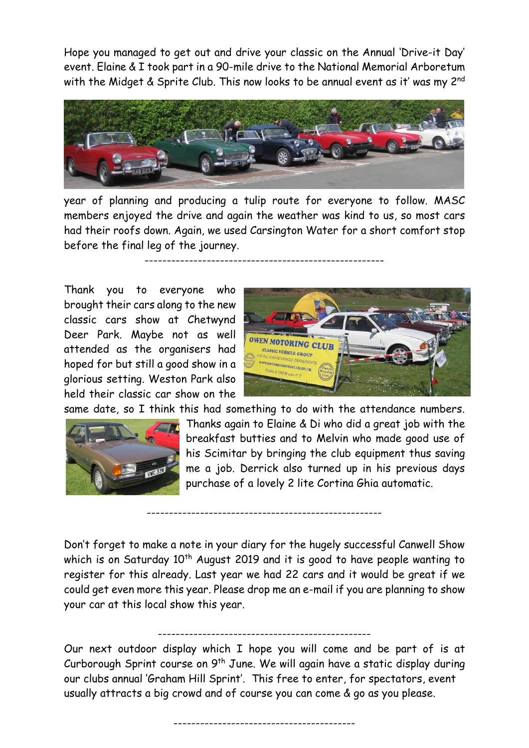Hope you managed to get out and drive your classic on the Annual 'Drive-it Day' event. Elaine & I took part in a 90-mile drive to the National Memorial Arboretum with the Midget & Sprite Club. This now looks to be annual event as it' was my 2<sup>nd</sup>



year of planning and producing a tulip route for everyone to follow. MASC members enjoyed the drive and again the weather was kind to us, so most cars had their roofs down. Again, we used Carsington Water for a short comfort stop before the final leg of the journey.

------------------------------------------------------

Thank you to everyone who brought their cars along to the new classic cars show at Chetwynd Deer Park. Maybe not as well attended as the organisers had hoped for but still a good show in a glorious setting. Weston Park also held their classic car show on the

your car at this local show this year.



same date, so I think this had something to do with the attendance numbers.



Thanks again to Elaine & Di who did a great job with the breakfast butties and to Melvin who made good use of his Scimitar by bringing the club equipment thus saving me a job. Derrick also turned up in his previous days purchase of a lovely 2 lite Cortina Ghia automatic.

Don't forget to make a note in your diary for the hugely successful Canwell Show which is on Saturday 10<sup>th</sup> August 2019 and it is good to have people wanting to register for this already. Last year we had 22 cars and it would be great if we could get even more this year. Please drop me an e-mail if you are planning to show

-----------------------------------------------------

------------------------------------------------ Our next outdoor display which I hope you will come and be part of is at Curborough Sprint course on 9<sup>th</sup> June. We will again have a static display during our clubs annual 'Graham Hill Sprint'. This free to enter, for spectators, event

-----------------------------------------

usually attracts a big crowd and of course you can come & go as you please.